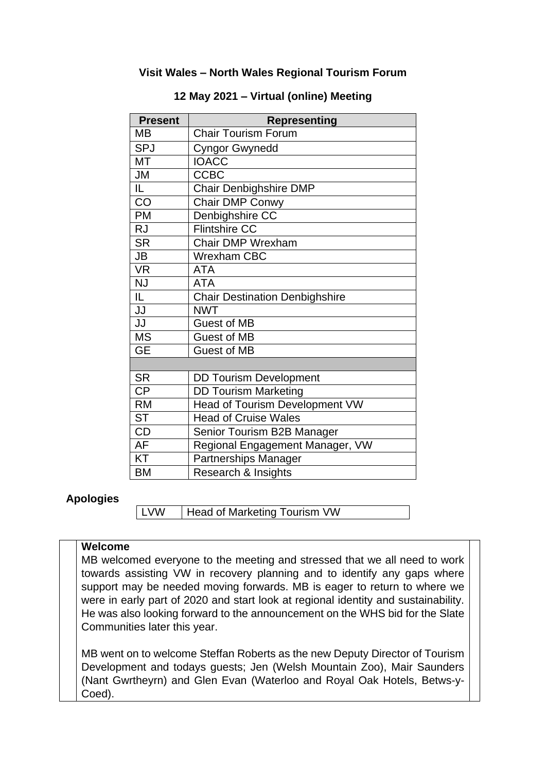### **Visit Wales – North Wales Regional Tourism Forum**

| <b>Present</b>  | <b>Representing</b>                   |
|-----------------|---------------------------------------|
| MB              | <b>Chair Tourism Forum</b>            |
| <b>SPJ</b>      | <b>Cyngor Gwynedd</b>                 |
| <b>MT</b>       | <b>IOACC</b>                          |
| <b>JM</b>       | <b>CCBC</b>                           |
| IL.             | <b>Chair Denbighshire DMP</b>         |
| CO              | Chair DMP Conwy                       |
| <b>PM</b>       | Denbighshire CC                       |
| <b>RJ</b>       | <b>Flintshire CC</b>                  |
| <b>SR</b>       | Chair DMP Wrexham                     |
| <b>JB</b>       | <b>Wrexham CBC</b>                    |
| <b>VR</b>       | <b>ATA</b>                            |
| <b>NJ</b>       | <b>ATA</b>                            |
| IL.             | <b>Chair Destination Denbighshire</b> |
| JJ              | <b>NWT</b>                            |
| JJ              | <b>Guest of MB</b>                    |
| <b>MS</b>       | <b>Guest of MB</b>                    |
| <b>GE</b>       | <b>Guest of MB</b>                    |
|                 |                                       |
| <b>SR</b>       | <b>DD Tourism Development</b>         |
| $\overline{CP}$ | <b>DD Tourism Marketing</b>           |
| <b>RM</b>       | <b>Head of Tourism Development VW</b> |
| <b>ST</b>       | <b>Head of Cruise Wales</b>           |
| <b>CD</b>       | Senior Tourism B2B Manager            |
| AF              | Regional Engagement Manager, VW       |
| KT              | <b>Partnerships Manager</b>           |
| BM              | Research & Insights                   |

#### **12 May 2021 – Virtual (online) Meeting**

#### **Apologies**

**LVW** | Head of Marketing Tourism VW

#### **Welcome**

MB welcomed everyone to the meeting and stressed that we all need to work towards assisting VW in recovery planning and to identify any gaps where support may be needed moving forwards. MB is eager to return to where we were in early part of 2020 and start look at regional identity and sustainability. He was also looking forward to the announcement on the WHS bid for the Slate Communities later this year.

MB went on to welcome Steffan Roberts as the new Deputy Director of Tourism Development and todays guests; Jen (Welsh Mountain Zoo), Mair Saunders (Nant Gwrtheyrn) and Glen Evan (Waterloo and Royal Oak Hotels, Betws-y-Coed).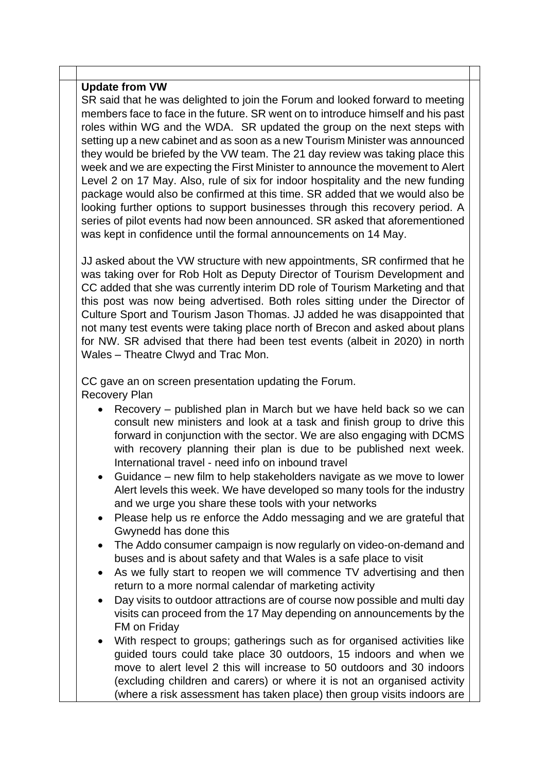#### **Update from VW**

SR said that he was delighted to join the Forum and looked forward to meeting members face to face in the future. SR went on to introduce himself and his past roles within WG and the WDA. SR updated the group on the next steps with setting up a new cabinet and as soon as a new Tourism Minister was announced they would be briefed by the VW team. The 21 day review was taking place this week and we are expecting the First Minister to announce the movement to Alert Level 2 on 17 May. Also, rule of six for indoor hospitality and the new funding package would also be confirmed at this time. SR added that we would also be looking further options to support businesses through this recovery period. A series of pilot events had now been announced. SR asked that aforementioned was kept in confidence until the formal announcements on 14 May.

JJ asked about the VW structure with new appointments, SR confirmed that he was taking over for Rob Holt as Deputy Director of Tourism Development and CC added that she was currently interim DD role of Tourism Marketing and that this post was now being advertised. Both roles sitting under the Director of Culture Sport and Tourism Jason Thomas. JJ added he was disappointed that not many test events were taking place north of Brecon and asked about plans for NW. SR advised that there had been test events (albeit in 2020) in north Wales – Theatre Clwyd and Trac Mon.

CC gave an on screen presentation updating the Forum. Recovery Plan

- Recovery published plan in March but we have held back so we can consult new ministers and look at a task and finish group to drive this forward in conjunction with the sector. We are also engaging with DCMS with recovery planning their plan is due to be published next week. International travel - need info on inbound travel
- Guidance new film to help stakeholders navigate as we move to lower Alert levels this week. We have developed so many tools for the industry and we urge you share these tools with your networks
- Please help us re enforce the Addo messaging and we are grateful that Gwynedd has done this
- The Addo consumer campaign is now regularly on video-on-demand and buses and is about safety and that Wales is a safe place to visit
- As we fully start to reopen we will commence TV advertising and then return to a more normal calendar of marketing activity
- Day visits to outdoor attractions are of course now possible and multi day visits can proceed from the 17 May depending on announcements by the FM on Friday
- With respect to groups; gatherings such as for organised activities like guided tours could take place 30 outdoors, 15 indoors and when we move to alert level 2 this will increase to 50 outdoors and 30 indoors (excluding children and carers) or where it is not an organised activity (where a risk assessment has taken place) then group visits indoors are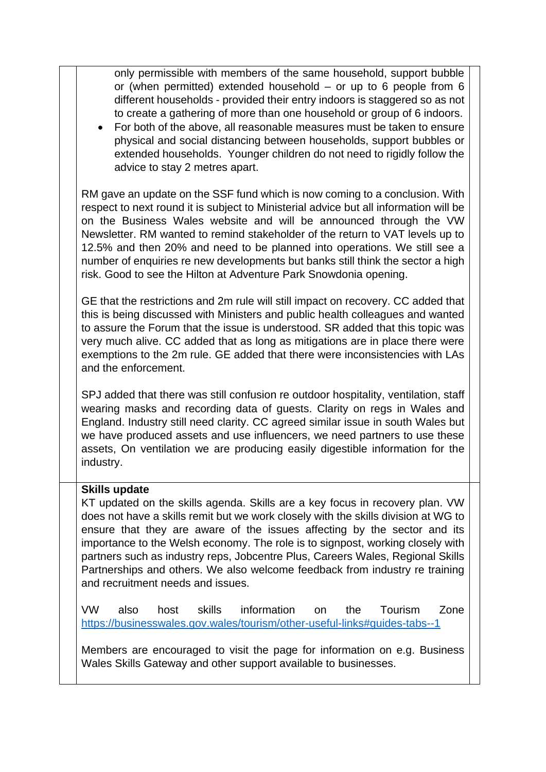| only permissible with members of the same household, support bubble<br>or (when permitted) extended household $-$ or up to 6 people from 6<br>different households - provided their entry indoors is staggered so as not<br>to create a gathering of more than one household or group of 6 indoors.<br>For both of the above, all reasonable measures must be taken to ensure<br>physical and social distancing between households, support bubbles or<br>extended households. Younger children do not need to rigidly follow the<br>advice to stay 2 metres apart. |
|---------------------------------------------------------------------------------------------------------------------------------------------------------------------------------------------------------------------------------------------------------------------------------------------------------------------------------------------------------------------------------------------------------------------------------------------------------------------------------------------------------------------------------------------------------------------|
| RM gave an update on the SSF fund which is now coming to a conclusion. With<br>respect to next round it is subject to Ministerial advice but all information will be<br>on the Business Wales website and will be announced through the VW<br>Newsletter. RM wanted to remind stakeholder of the return to VAT levels up to<br>12.5% and then 20% and need to be planned into operations. We still see a<br>number of enquiries re new developments but banks still think the sector a high<br>risk. Good to see the Hilton at Adventure Park Snowdonia opening.    |
| GE that the restrictions and 2m rule will still impact on recovery. CC added that<br>this is being discussed with Ministers and public health colleagues and wanted<br>to assure the Forum that the issue is understood. SR added that this topic was<br>very much alive. CC added that as long as mitigations are in place there were<br>exemptions to the 2m rule. GE added that there were inconsistencies with LAs<br>and the enforcement.                                                                                                                      |
| SPJ added that there was still confusion re outdoor hospitality, ventilation, staff<br>wearing masks and recording data of guests. Clarity on regs in Wales and<br>England. Industry still need clarity. CC agreed similar issue in south Wales but<br>we have produced assets and use influencers, we need partners to use these<br>assets, On ventilation we are producing easily digestible information for the<br>industry.                                                                                                                                     |
| <b>Skills update</b><br>KT updated on the skills agenda. Skills are a key focus in recovery plan. VW<br>does not have a skills remit but we work closely with the skills division at WG to<br>ensure that they are aware of the issues affecting by the sector and its<br>importance to the Welsh economy. The role is to signpost, working closely with<br>partners such as industry reps, Jobcentre Plus, Careers Wales, Regional Skills<br>Partnerships and others. We also welcome feedback from industry re training<br>and recruitment needs and issues.      |
| <b>VW</b><br>skills<br>information<br>Tourism<br>also<br>host<br>the<br>Zone<br>on<br>https://businesswales.gov.wales/tourism/other-useful-links#guides-tabs--1                                                                                                                                                                                                                                                                                                                                                                                                     |
| Members are encouraged to visit the page for information on e.g. Business<br>Wales Skills Gateway and other support available to businesses.                                                                                                                                                                                                                                                                                                                                                                                                                        |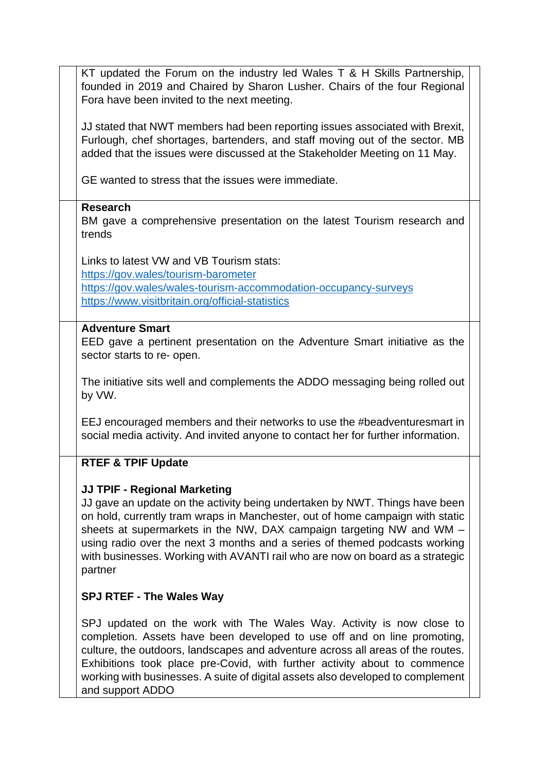| KT updated the Forum on the industry led Wales T & H Skills Partnership,<br>founded in 2019 and Chaired by Sharon Lusher. Chairs of the four Regional<br>Fora have been invited to the next meeting.                                                                                                                                                                                                                                                  |
|-------------------------------------------------------------------------------------------------------------------------------------------------------------------------------------------------------------------------------------------------------------------------------------------------------------------------------------------------------------------------------------------------------------------------------------------------------|
| JJ stated that NWT members had been reporting issues associated with Brexit,<br>Furlough, chef shortages, bartenders, and staff moving out of the sector. MB<br>added that the issues were discussed at the Stakeholder Meeting on 11 May.                                                                                                                                                                                                            |
| GE wanted to stress that the issues were immediate.                                                                                                                                                                                                                                                                                                                                                                                                   |
| <b>Research</b><br>BM gave a comprehensive presentation on the latest Tourism research and<br>trends                                                                                                                                                                                                                                                                                                                                                  |
| Links to latest VW and VB Tourism stats:                                                                                                                                                                                                                                                                                                                                                                                                              |
| https://gov.wales/tourism-barometer                                                                                                                                                                                                                                                                                                                                                                                                                   |
| https://gov.wales/wales-tourism-accommodation-occupancy-surveys<br>https://www.visitbritain.org/official-statistics                                                                                                                                                                                                                                                                                                                                   |
| <b>Adventure Smart</b><br>EED gave a pertinent presentation on the Adventure Smart initiative as the<br>sector starts to re- open.                                                                                                                                                                                                                                                                                                                    |
| The initiative sits well and complements the ADDO messaging being rolled out<br>by VW.                                                                                                                                                                                                                                                                                                                                                                |
| EEJ encouraged members and their networks to use the #beadventuresmart in<br>social media activity. And invited anyone to contact her for further information.                                                                                                                                                                                                                                                                                        |
| <b>RTEF &amp; TPIF Update</b>                                                                                                                                                                                                                                                                                                                                                                                                                         |
| <b>JJ TPIF - Regional Marketing</b><br>JJ gave an update on the activity being undertaken by NWT. Things have been<br>on hold, currently tram wraps in Manchester, out of home campaign with static<br>sheets at supermarkets in the NW, DAX campaign targeting NW and WM –<br>using radio over the next 3 months and a series of themed podcasts working<br>with businesses. Working with AVANTI rail who are now on board as a strategic<br>partner |
| <b>SPJ RTEF - The Wales Way</b>                                                                                                                                                                                                                                                                                                                                                                                                                       |
| SPJ updated on the work with The Wales Way. Activity is now close to<br>completion. Assets have been developed to use off and on line promoting,<br>culture, the outdoors, landscapes and adventure across all areas of the routes.<br>Exhibitions took place pre-Covid, with further activity about to commence<br>working with businesses. A suite of digital assets also developed to complement<br>and support ADDO                               |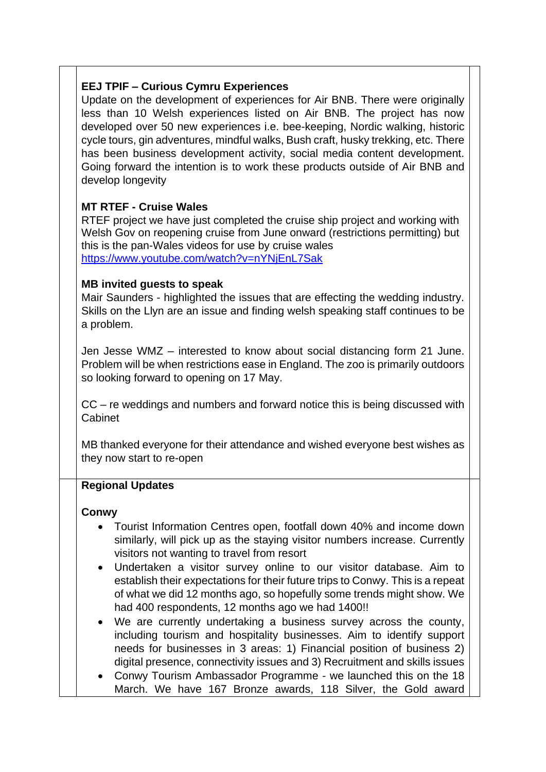# **EEJ TPIF – Curious Cymru Experiences**

Update on the development of experiences for Air BNB. There were originally less than 10 Welsh experiences listed on Air BNB. The project has now developed over 50 new experiences i.e. bee-keeping, Nordic walking, historic cycle tours, gin adventures, mindful walks, Bush craft, husky trekking, etc. There has been business development activity, social media content development. Going forward the intention is to work these products outside of Air BNB and develop longevity

# **MT RTEF - Cruise Wales**

RTEF project we have just completed the cruise ship project and working with Welsh Gov on reopening cruise from June onward (restrictions permitting) but this is the pan-Wales videos for use by cruise wales <https://www.youtube.com/watch?v=nYNjEnL7Sak>

## **MB invited guests to speak**

Mair Saunders - highlighted the issues that are effecting the wedding industry. Skills on the Llyn are an issue and finding welsh speaking staff continues to be a problem.

Jen Jesse WMZ – interested to know about social distancing form 21 June. Problem will be when restrictions ease in England. The zoo is primarily outdoors so looking forward to opening on 17 May.

CC – re weddings and numbers and forward notice this is being discussed with Cabinet

MB thanked everyone for their attendance and wished everyone best wishes as they now start to re-open

## **Regional Updates**

#### **Conwy**

- Tourist Information Centres open, footfall down 40% and income down similarly, will pick up as the staying visitor numbers increase. Currently visitors not wanting to travel from resort
- Undertaken a visitor survey online to our visitor database. Aim to establish their expectations for their future trips to Conwy. This is a repeat of what we did 12 months ago, so hopefully some trends might show. We had 400 respondents, 12 months ago we had 1400!!
- We are currently undertaking a business survey across the county, including tourism and hospitality businesses. Aim to identify support needs for businesses in 3 areas: 1) Financial position of business 2) digital presence, connectivity issues and 3) Recruitment and skills issues
- Conwy Tourism Ambassador Programme we launched this on the 18 March. We have 167 Bronze awards, 118 Silver, the Gold award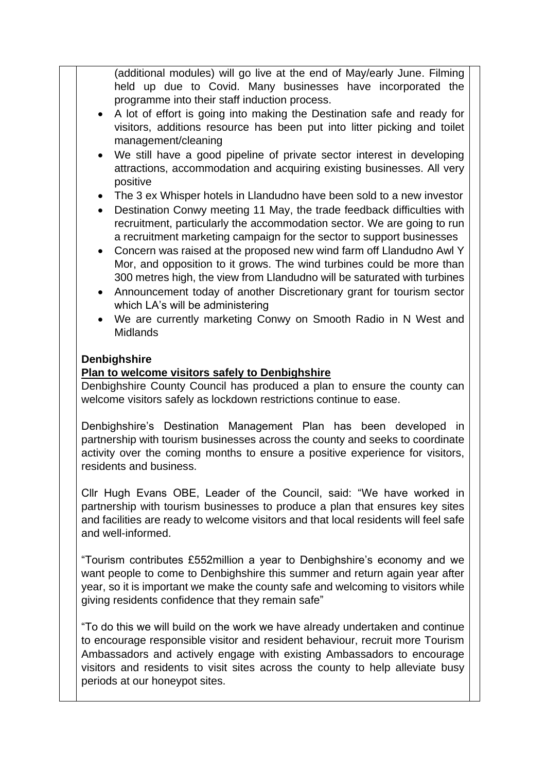(additional modules) will go live at the end of May/early June. Filming held up due to Covid. Many businesses have incorporated the programme into their staff induction process.

- A lot of effort is going into making the Destination safe and ready for visitors, additions resource has been put into litter picking and toilet management/cleaning
- We still have a good pipeline of private sector interest in developing attractions, accommodation and acquiring existing businesses. All very positive
- The 3 ex Whisper hotels in Llandudno have been sold to a new investor
- Destination Conwy meeting 11 May, the trade feedback difficulties with recruitment, particularly the accommodation sector. We are going to run a recruitment marketing campaign for the sector to support businesses
- Concern was raised at the proposed new wind farm off Llandudno Awl Y Mor, and opposition to it grows. The wind turbines could be more than 300 metres high, the view from Llandudno will be saturated with turbines
- Announcement today of another Discretionary grant for tourism sector which LA's will be administering
- We are currently marketing Conwy on Smooth Radio in N West and Midlands

### **Denbighshire**

## **Plan to welcome visitors safely to Denbighshire**

Denbighshire County Council has produced a plan to ensure the county can welcome visitors safely as lockdown restrictions continue to ease.

Denbighshire's Destination Management Plan has been developed in partnership with tourism businesses across the county and seeks to coordinate activity over the coming months to ensure a positive experience for visitors, residents and business.

Cllr Hugh Evans OBE, Leader of the Council, said: "We have worked in partnership with tourism businesses to produce a plan that ensures key sites and facilities are ready to welcome visitors and that local residents will feel safe and well-informed.

"Tourism contributes £552million a year to Denbighshire's economy and we want people to come to Denbighshire this summer and return again year after year, so it is important we make the county safe and welcoming to visitors while giving residents confidence that they remain safe"

"To do this we will build on the work we have already undertaken and continue to encourage responsible visitor and resident behaviour, recruit more Tourism Ambassadors and actively engage with existing Ambassadors to encourage visitors and residents to visit sites across the county to help alleviate busy periods at our honeypot sites.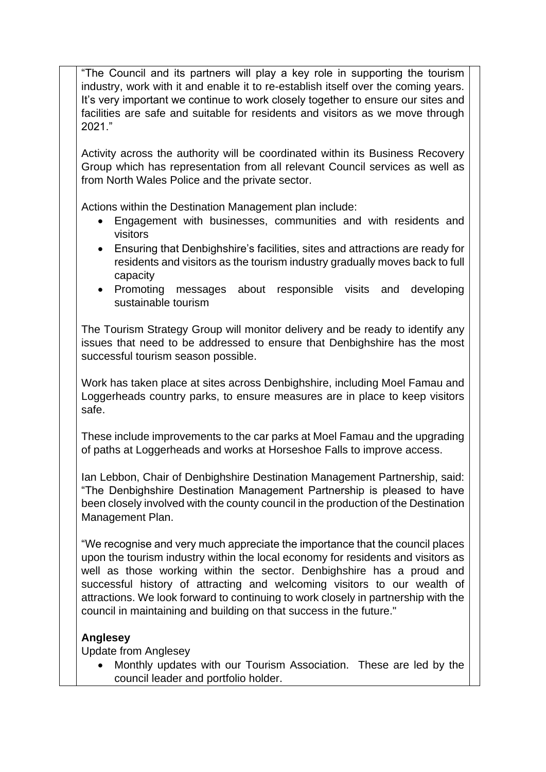"The Council and its partners will play a key role in supporting the tourism industry, work with it and enable it to re-establish itself over the coming years. It's very important we continue to work closely together to ensure our sites and facilities are safe and suitable for residents and visitors as we move through 2021."

Activity across the authority will be coordinated within its Business Recovery Group which has representation from all relevant Council services as well as from North Wales Police and the private sector.

Actions within the Destination Management plan include:

- Engagement with businesses, communities and with residents and visitors
- Ensuring that Denbighshire's facilities, sites and attractions are ready for residents and visitors as the tourism industry gradually moves back to full capacity
- Promoting messages about responsible visits and developing sustainable tourism

The Tourism Strategy Group will monitor delivery and be ready to identify any issues that need to be addressed to ensure that Denbighshire has the most successful tourism season possible.

Work has taken place at sites across Denbighshire, including Moel Famau and Loggerheads country parks, to ensure measures are in place to keep visitors safe.

These include improvements to the car parks at Moel Famau and the upgrading of paths at Loggerheads and works at Horseshoe Falls to improve access.

Ian Lebbon, Chair of Denbighshire Destination Management Partnership, said: "The Denbighshire Destination Management Partnership is pleased to have been closely involved with the county council in the production of the Destination Management Plan.

"We recognise and very much appreciate the importance that the council places upon the tourism industry within the local economy for residents and visitors as well as those working within the sector. Denbighshire has a proud and successful history of attracting and welcoming visitors to our wealth of attractions. We look forward to continuing to work closely in partnership with the council in maintaining and building on that success in the future."

## **Anglesey**

Update from Anglesey

 Monthly updates with our Tourism Association. These are led by the council leader and portfolio holder.